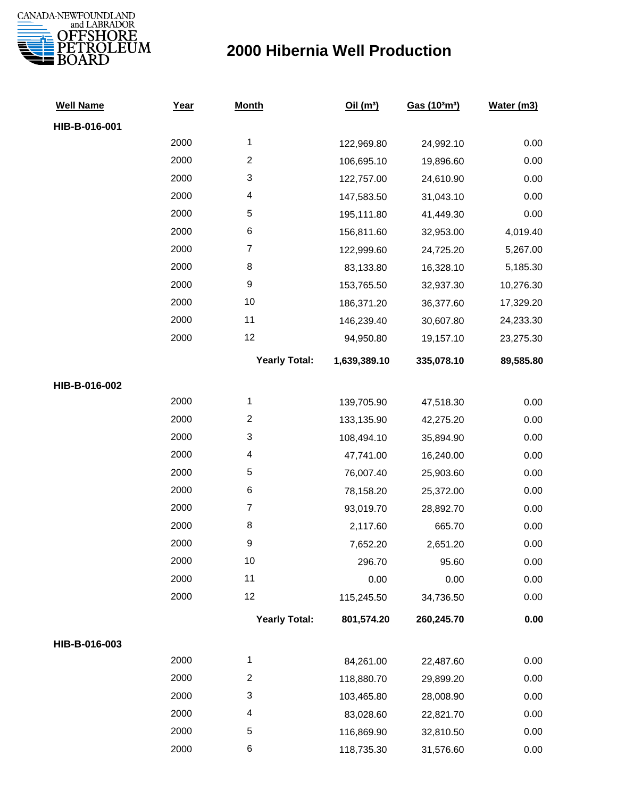

| <b>Well Name</b> | Year | <b>Month</b>         | Oil(m <sup>3</sup> ) | Gas (103m3) | Water (m3) |
|------------------|------|----------------------|----------------------|-------------|------------|
| HIB-B-016-001    |      |                      |                      |             |            |
|                  | 2000 | $\mathbf{1}$         | 122,969.80           | 24,992.10   | 0.00       |
|                  | 2000 | $\overline{c}$       | 106,695.10           | 19,896.60   | 0.00       |
|                  | 2000 | 3                    | 122,757.00           | 24,610.90   | 0.00       |
|                  | 2000 | 4                    | 147,583.50           | 31,043.10   | 0.00       |
|                  | 2000 | 5                    | 195,111.80           | 41,449.30   | 0.00       |
|                  | 2000 | 6                    | 156,811.60           | 32,953.00   | 4,019.40   |
|                  | 2000 | $\boldsymbol{7}$     | 122,999.60           | 24,725.20   | 5,267.00   |
|                  | 2000 | 8                    | 83,133.80            | 16,328.10   | 5,185.30   |
|                  | 2000 | $\boldsymbol{9}$     | 153,765.50           | 32,937.30   | 10,276.30  |
|                  | 2000 | 10                   | 186,371.20           | 36,377.60   | 17,329.20  |
|                  | 2000 | 11                   | 146,239.40           | 30,607.80   | 24,233.30  |
|                  | 2000 | 12                   | 94,950.80            | 19,157.10   | 23,275.30  |
|                  |      | <b>Yearly Total:</b> | 1,639,389.10         | 335,078.10  | 89,585.80  |
| HIB-B-016-002    |      |                      |                      |             |            |
|                  | 2000 | $\mathbf{1}$         | 139,705.90           | 47,518.30   | 0.00       |
|                  | 2000 | $\overline{c}$       | 133,135.90           | 42,275.20   | 0.00       |
|                  | 2000 | 3                    | 108,494.10           | 35,894.90   | 0.00       |
|                  | 2000 | 4                    | 47,741.00            | 16,240.00   | 0.00       |
|                  | 2000 | 5                    | 76,007.40            | 25,903.60   | 0.00       |
|                  | 2000 | 6                    | 78,158.20            | 25,372.00   | 0.00       |
|                  | 2000 | $\boldsymbol{7}$     | 93,019.70            | 28,892.70   | 0.00       |
|                  | 2000 | 8                    | 2,117.60             | 665.70      | 0.00       |
|                  | 2000 | 9                    | 7,652.20             | 2,651.20    | 0.00       |
|                  | 2000 | 10                   | 296.70               | 95.60       | 0.00       |
|                  | 2000 | 11                   | 0.00                 | 0.00        | 0.00       |
|                  | 2000 | 12                   | 115,245.50           | 34,736.50   | 0.00       |
|                  |      | <b>Yearly Total:</b> | 801,574.20           | 260,245.70  | 0.00       |
| HIB-B-016-003    |      |                      |                      |             |            |
|                  | 2000 | $\mathbf 1$          | 84,261.00            | 22,487.60   | 0.00       |
|                  | 2000 | $\boldsymbol{2}$     | 118,880.70           | 29,899.20   | 0.00       |
|                  | 2000 | 3                    | 103,465.80           | 28,008.90   | 0.00       |
|                  | 2000 | 4                    | 83,028.60            | 22,821.70   | 0.00       |
|                  | 2000 | 5                    | 116,869.90           | 32,810.50   | 0.00       |
|                  | 2000 | 6                    | 118,735.30           | 31,576.60   | 0.00       |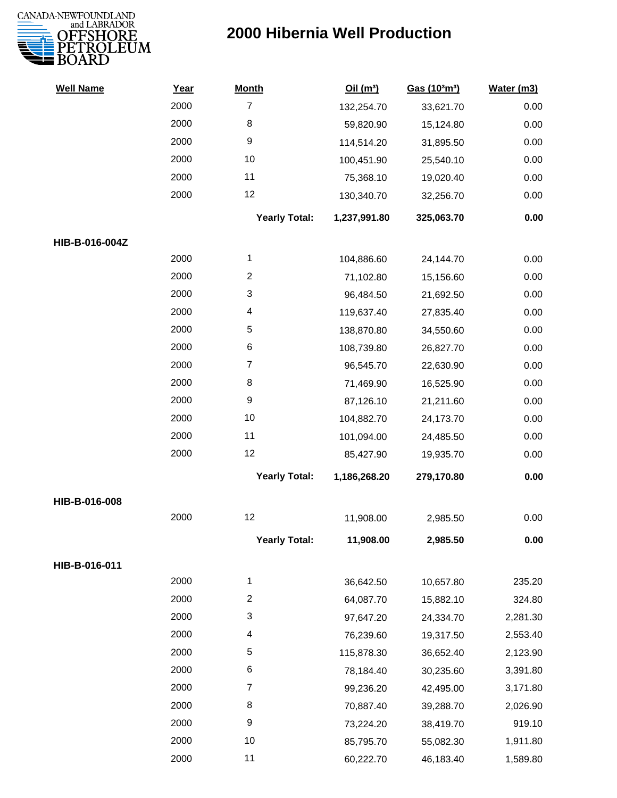

| <b>Well Name</b> | Year | <b>Month</b>            | Oil(m <sup>3</sup> ) | Gas (103m3) | Water (m3) |
|------------------|------|-------------------------|----------------------|-------------|------------|
|                  | 2000 | $\overline{7}$          | 132,254.70           | 33,621.70   | 0.00       |
|                  | 2000 | 8                       | 59,820.90            | 15,124.80   | 0.00       |
|                  | 2000 | 9                       | 114,514.20           | 31,895.50   | 0.00       |
|                  | 2000 | 10                      | 100,451.90           | 25,540.10   | 0.00       |
|                  | 2000 | 11                      | 75,368.10            | 19,020.40   | 0.00       |
|                  | 2000 | 12                      | 130,340.70           | 32,256.70   | 0.00       |
|                  |      | <b>Yearly Total:</b>    | 1,237,991.80         | 325,063.70  | 0.00       |
| HIB-B-016-004Z   |      |                         |                      |             |            |
|                  | 2000 | $\mathbf 1$             | 104,886.60           | 24,144.70   | 0.00       |
|                  | 2000 | $\overline{c}$          | 71,102.80            | 15,156.60   | 0.00       |
|                  | 2000 | 3                       | 96,484.50            | 21,692.50   | 0.00       |
|                  | 2000 | 4                       | 119,637.40           | 27,835.40   | 0.00       |
|                  | 2000 | 5                       | 138,870.80           | 34,550.60   | 0.00       |
|                  | 2000 | 6                       | 108,739.80           | 26,827.70   | 0.00       |
|                  | 2000 | $\overline{7}$          | 96,545.70            | 22,630.90   | 0.00       |
|                  | 2000 | 8                       | 71,469.90            | 16,525.90   | 0.00       |
|                  | 2000 | 9                       | 87,126.10            | 21,211.60   | 0.00       |
|                  | 2000 | 10                      | 104,882.70           | 24,173.70   | 0.00       |
|                  | 2000 | 11                      | 101,094.00           | 24,485.50   | 0.00       |
|                  | 2000 | 12                      | 85,427.90            | 19,935.70   | 0.00       |
|                  |      | <b>Yearly Total:</b>    | 1,186,268.20         | 279,170.80  | 0.00       |
| HIB-B-016-008    |      |                         |                      |             |            |
|                  | 2000 | 12                      | 11,908.00            | 2,985.50    | 0.00       |
|                  |      | <b>Yearly Total:</b>    | 11,908.00            | 2,985.50    | 0.00       |
| HIB-B-016-011    |      |                         |                      |             |            |
|                  | 2000 | $\mathbf{1}$            | 36,642.50            | 10,657.80   | 235.20     |
|                  | 2000 | $\overline{\mathbf{c}}$ | 64,087.70            | 15,882.10   | 324.80     |
|                  | 2000 | 3                       | 97,647.20            | 24,334.70   | 2,281.30   |
|                  | 2000 | 4                       | 76,239.60            | 19,317.50   | 2,553.40   |
|                  | 2000 | 5                       | 115,878.30           | 36,652.40   | 2,123.90   |
|                  | 2000 | 6                       | 78,184.40            | 30,235.60   | 3,391.80   |
|                  | 2000 | 7                       | 99,236.20            | 42,495.00   | 3,171.80   |
|                  | 2000 | 8                       | 70,887.40            | 39,288.70   | 2,026.90   |
|                  | 2000 | 9                       | 73,224.20            | 38,419.70   | 919.10     |
|                  | 2000 | 10                      | 85,795.70            | 55,082.30   | 1,911.80   |
|                  | 2000 | 11                      | 60,222.70            | 46,183.40   | 1,589.80   |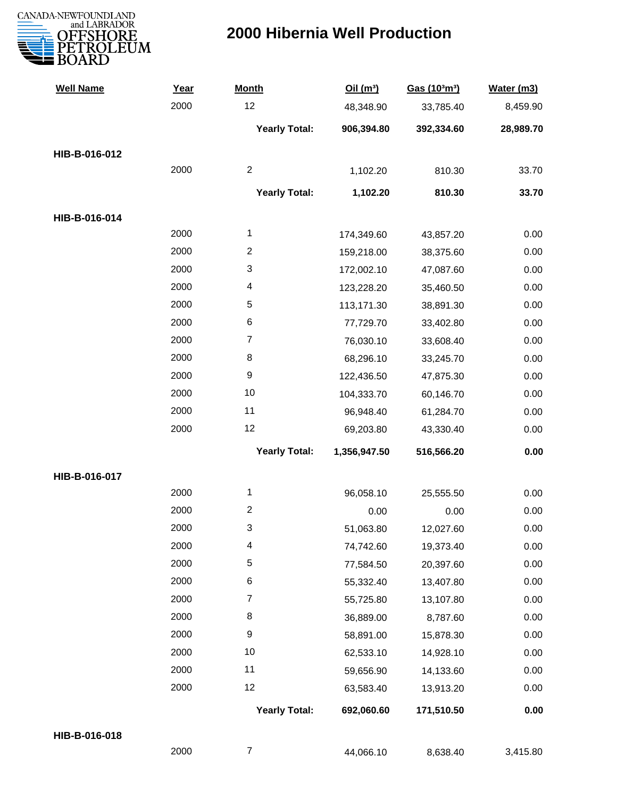

| <b>Well Name</b> | Year | <b>Month</b>         | Oil(m <sup>3</sup> ) | Gas (103m3) | Water (m3) |
|------------------|------|----------------------|----------------------|-------------|------------|
|                  | 2000 | 12                   | 48,348.90            | 33,785.40   | 8,459.90   |
|                  |      | <b>Yearly Total:</b> | 906,394.80           | 392,334.60  | 28,989.70  |
| HIB-B-016-012    |      |                      |                      |             |            |
|                  | 2000 | $\boldsymbol{2}$     | 1,102.20             | 810.30      | 33.70      |
|                  |      | <b>Yearly Total:</b> | 1,102.20             | 810.30      | 33.70      |
| HIB-B-016-014    |      |                      |                      |             |            |
|                  | 2000 | 1                    | 174,349.60           | 43,857.20   | 0.00       |
|                  | 2000 | $\overline{c}$       | 159,218.00           | 38,375.60   | 0.00       |
|                  | 2000 | 3                    | 172,002.10           | 47,087.60   | 0.00       |
|                  | 2000 | 4                    | 123,228.20           | 35,460.50   | 0.00       |
|                  | 2000 | 5                    | 113,171.30           | 38,891.30   | 0.00       |
|                  | 2000 | 6                    | 77,729.70            | 33,402.80   | 0.00       |
|                  | 2000 | $\overline{7}$       | 76,030.10            | 33,608.40   | 0.00       |
|                  | 2000 | 8                    | 68,296.10            | 33,245.70   | 0.00       |
|                  | 2000 | $\boldsymbol{9}$     | 122,436.50           | 47,875.30   | 0.00       |
|                  | 2000 | 10                   | 104,333.70           | 60,146.70   | 0.00       |
|                  | 2000 | 11                   | 96,948.40            | 61,284.70   | 0.00       |
|                  | 2000 | 12                   | 69,203.80            | 43,330.40   | 0.00       |
|                  |      | <b>Yearly Total:</b> | 1,356,947.50         | 516,566.20  | 0.00       |
| HIB-B-016-017    |      |                      |                      |             |            |
|                  | 2000 | $\mathbf{1}$         | 96,058.10            | 25,555.50   | 0.00       |
|                  | 2000 | $\overline{c}$       | 0.00                 | 0.00        | 0.00       |
|                  | 2000 | 3                    | 51,063.80            | 12,027.60   | 0.00       |
|                  | 2000 | 4                    | 74,742.60            | 19,373.40   | 0.00       |
|                  | 2000 | 5                    | 77,584.50            | 20,397.60   | 0.00       |
|                  | 2000 | 6                    | 55,332.40            | 13,407.80   | 0.00       |
|                  | 2000 | $\overline{7}$       | 55,725.80            | 13,107.80   | 0.00       |
|                  | 2000 | 8                    | 36,889.00            | 8,787.60    | 0.00       |
|                  | 2000 | $\boldsymbol{9}$     | 58,891.00            | 15,878.30   | 0.00       |
|                  | 2000 | 10                   | 62,533.10            | 14,928.10   | 0.00       |
|                  | 2000 | 11                   | 59,656.90            | 14,133.60   | 0.00       |
|                  | 2000 | 12                   | 63,583.40            | 13,913.20   | 0.00       |
|                  |      | <b>Yearly Total:</b> | 692,060.60           | 171,510.50  | 0.00       |
| HIB-B-016-018    |      |                      |                      |             |            |
|                  | 2000 | $\boldsymbol{7}$     | 44,066.10            | 8,638.40    | 3,415.80   |